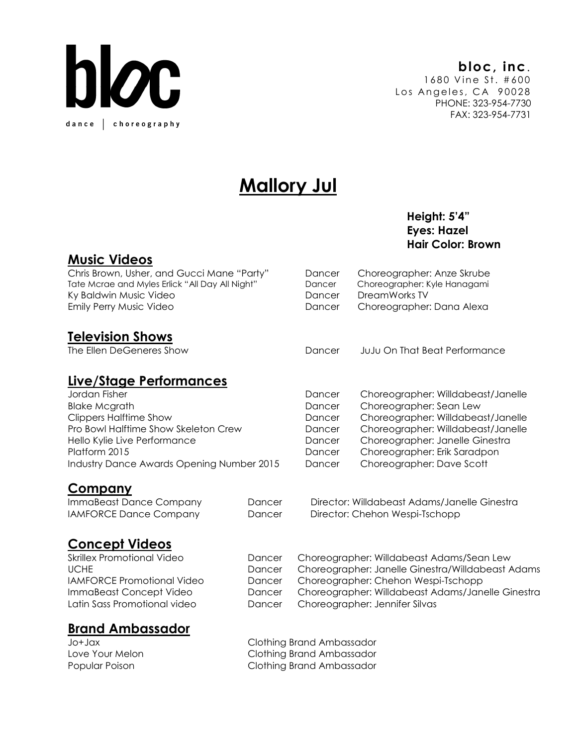

# **Mallory Jul**

# Height: 5'4" Hair Color: Brown

# Music Videos

Chris Brown, Usher, and Gucci Mane "Party" Dancer Choreographer: Anze Skrube Tate Mcrae and Myles Erlick "All Day All Night" Ky Baldwin Music Video Emily Perry Music Video

# **Television Shows**<br>The Ellen DeGeneres Show

### Live/Stage Performances

| Jordan Fisher                             | Dancer | Choreographer: Willdabeast/Jan  |
|-------------------------------------------|--------|---------------------------------|
| <b>Blake Mcgrath</b>                      | Dancer | Choreographer: Sean Lew         |
| <b>Clippers Halftime Show</b>             | Dancer | Choreographer: Willdabeast/Jane |
| Pro Bowl Halftime Show Skeleton Crew      | Dancer | Choreographer: Willdabeast/Jan  |
| Hello Kylie Live Performance              | Dancer | Choreographer: Janelle Ginestra |
| Platform 2015                             | Dancer | Choreographer: Erik Saradpon    |
| Industry Dance Awards Opening Number 2015 | Dancer | Choreographer: Dave Scott       |

|--|

| ImmaBeast Dance Company       | Dancer | Director: Willdabeast Adams/Janelle Ginestra |
|-------------------------------|--------|----------------------------------------------|
| <b>IAMFORCE Dance Company</b> | Dancer | Director: Chehon Wespi-Tschopp               |

#### Concept Videos

| Skrillex Promotional Video        | Dancer | Choreographer: Willdabeast Adams/Sean Lew         |
|-----------------------------------|--------|---------------------------------------------------|
| <b>UCHE</b>                       | Dancer | Choreographer: Janelle Ginestra/Willdabeast Adams |
| <b>IAMFORCE Promotional Video</b> | Dancer | Choreographer: Chehon Wespi-Tschopp               |
| ImmaBeast Concept Video           | Dancer | Choreographer: Willdabeast Adams/Janelle Ginestra |
| Latin Sass Promotional video      | Dancer | Choreographer: Jennifer Silvas                    |
|                                   |        |                                                   |

# Brand Ambassador

| xpl+ol          | Clothing Brand Ambassador |
|-----------------|---------------------------|
| Love Your Melon | Clothing Brand Ambassador |
| Popular Poison  | Clothing Brand Ambassador |

Eyes: Hazel

| Dancer | Choreographer: Anze Skrube   |
|--------|------------------------------|
| Dancer | Choreographer: Kyle Hanagami |
| Dancer | DreamWorks TV                |
| Dancer | Choreographer: Dana Alexa    |
|        |                              |

Dancer JuJu On That Beat Performance

| Jordan Fisher                             | Dancer | Choreographer: Willdabeast/Janelle |
|-------------------------------------------|--------|------------------------------------|
| <b>Blake Mcgrath</b>                      | Dancer | Choreographer: Sean Lew            |
| <b>Clippers Halftime Show</b>             | Dancer | Choreographer: Willdabeast/Janelle |
| Pro Bowl Halftime Show Skeleton Crew      | Dancer | Choreographer: Willdabeast/Janelle |
| Hello Kylie Live Performance              | Dancer | Choreographer: Janelle Ginestra    |
| Platform 2015                             | Dancer | Choreographer: Erik Saradpon       |
| Industry Dance Awards Opening Number 2015 | Dancer | Choreographer: Dave Scott          |